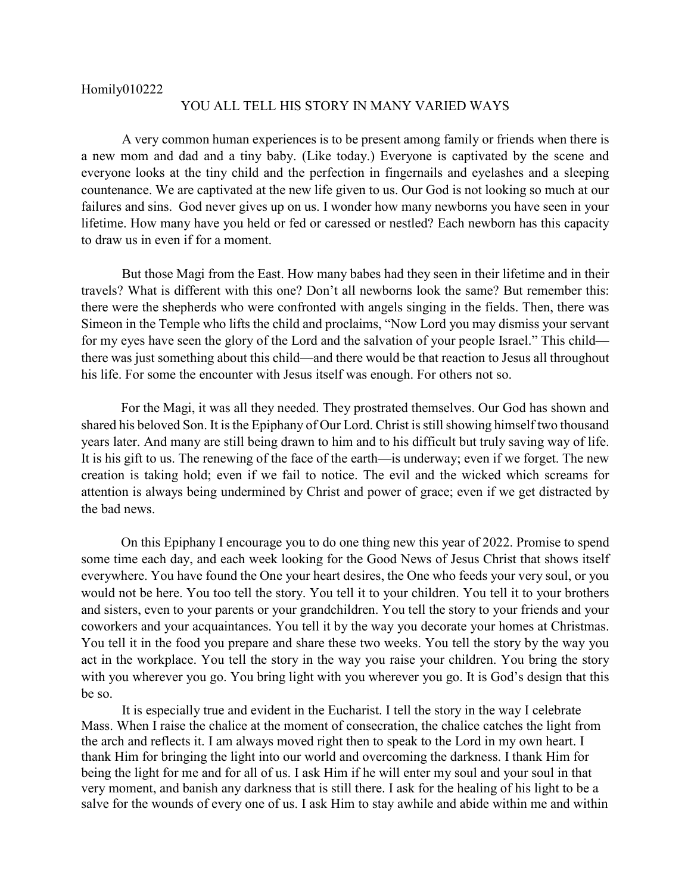## Homily010222

## YOU ALL TELL HIS STORY IN MANY VARIED WAYS

A very common human experiences is to be present among family or friends when there is a new mom and dad and a tiny baby. (Like today.) Everyone is captivated by the scene and everyone looks at the tiny child and the perfection in fingernails and eyelashes and a sleeping countenance. We are captivated at the new life given to us. Our God is not looking so much at our failures and sins. God never gives up on us. I wonder how many newborns you have seen in your lifetime. How many have you held or fed or caressed or nestled? Each newborn has this capacity to draw us in even if for a moment.

But those Magi from the East. How many babes had they seen in their lifetime and in their travels? What is different with this one? Don't all newborns look the same? But remember this: there were the shepherds who were confronted with angels singing in the fields. Then, there was Simeon in the Temple who lifts the child and proclaims, "Now Lord you may dismiss your servant for my eyes have seen the glory of the Lord and the salvation of your people Israel." This child there was just something about this child—and there would be that reaction to Jesus all throughout his life. For some the encounter with Jesus itself was enough. For others not so.

For the Magi, it was all they needed. They prostrated themselves. Our God has shown and shared his beloved Son. It is the Epiphany of Our Lord. Christ is still showing himself two thousand years later. And many are still being drawn to him and to his difficult but truly saving way of life. It is his gift to us. The renewing of the face of the earth—is underway; even if we forget. The new creation is taking hold; even if we fail to notice. The evil and the wicked which screams for attention is always being undermined by Christ and power of grace; even if we get distracted by the bad news.

On this Epiphany I encourage you to do one thing new this year of 2022. Promise to spend some time each day, and each week looking for the Good News of Jesus Christ that shows itself everywhere. You have found the One your heart desires, the One who feeds your very soul, or you would not be here. You too tell the story. You tell it to your children. You tell it to your brothers and sisters, even to your parents or your grandchildren. You tell the story to your friends and your coworkers and your acquaintances. You tell it by the way you decorate your homes at Christmas. You tell it in the food you prepare and share these two weeks. You tell the story by the way you act in the workplace. You tell the story in the way you raise your children. You bring the story with you wherever you go. You bring light with you wherever you go. It is God's design that this be so.

It is especially true and evident in the Eucharist. I tell the story in the way I celebrate Mass. When I raise the chalice at the moment of consecration, the chalice catches the light from the arch and reflects it. I am always moved right then to speak to the Lord in my own heart. I thank Him for bringing the light into our world and overcoming the darkness. I thank Him for being the light for me and for all of us. I ask Him if he will enter my soul and your soul in that very moment, and banish any darkness that is still there. I ask for the healing of his light to be a salve for the wounds of every one of us. I ask Him to stay awhile and abide within me and within